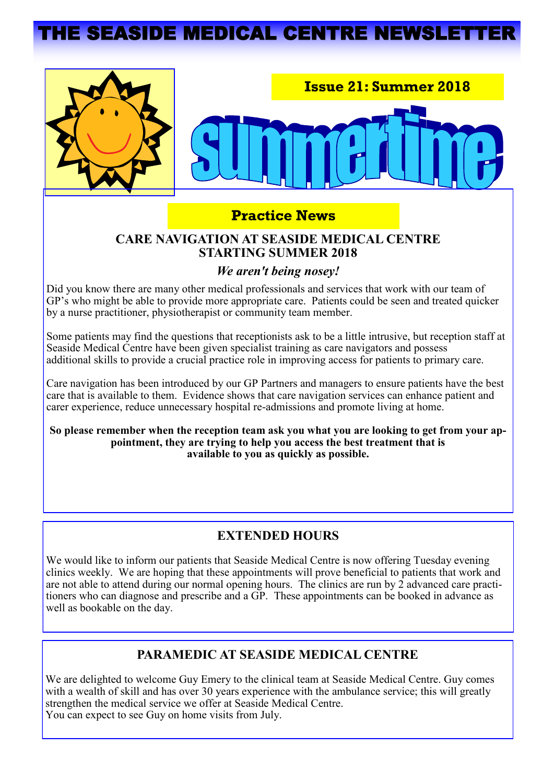# **THE SEASIDE MEDICAL CENTRE NEWSLET**



## **Practice News**

### **CARE NAVIGATION AT SEASIDE MEDICAL CENTRE STARTING SUMMER 2018**

### *We aren't being nosey!*

Did you know there are many other medical professionals and services that work with our team of GP's who might be able to provide more appropriate care. Patients could be seen and treated quicker by a nurse practitioner, physiotherapist or community team member.

Some patients may find the questions that receptionists ask to be a little intrusive, but reception staff at Seaside Medical Centre have been given specialist training as care navigators and possess additional skills to provide a crucial practice role in improving access for patients to primary care.

Care navigation has been introduced by our GP Partners and managers to ensure patients have the best care that is available to them. Evidence shows that care navigation services can enhance patient and carer experience, reduce unnecessary hospital re-admissions and promote living at home.

**So please remember when the reception team ask you what you are looking to get from your appointment, they are trying to help you access the best treatment that is available to you as quickly as possible.** 

## **EXTENDED HOURS**

We would like to inform our patients that Seaside Medical Centre is now offering Tuesday evening clinics weekly. We are hoping that these appointments will prove beneficial to patients that work and are not able to attend during our normal opening hours. The clinics are run by 2 advanced care practitioners who can diagnose and prescribe and a GP. These appointments can be booked in advance as well as bookable on the day.

### **PARAMEDIC AT SEASIDE MEDICAL CENTRE**

We are delighted to welcome Guy Emery to the clinical team at Seaside Medical Centre. Guy comes with a wealth of skill and has over 30 years experience with the ambulance service; this will greatly strengthen the medical service we offer at Seaside Medical Centre. You can expect to see Guy on home visits from July.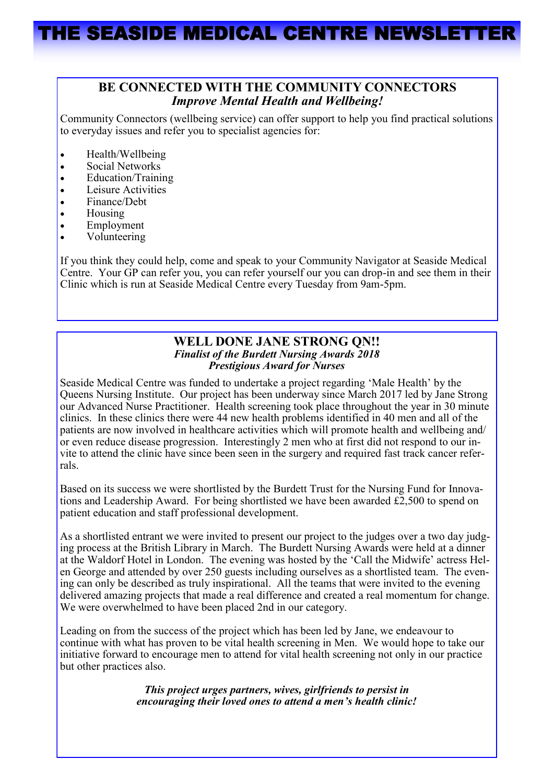#### **BE CONNECTED WITH THE COMMUNITY CONNECTORS** *Improve Mental Health and Wellbeing!*

Community Connectors (wellbeing service) can offer support to help you find practical solutions to everyday issues and refer you to specialist agencies for:

- Health/Wellbeing
- Social Networks
- Education/Training
- Leisure Activities
- Finance/Debt
- Housing
- **Employment**
- Volunteering

If you think they could help, come and speak to your Community Navigator at Seaside Medical Centre. Your GP can refer you, you can refer yourself our you can drop-in and see them in their Clinic which is run at Seaside Medical Centre every Tuesday from 9am-5pm.

#### **WELL DONE JANE STRONG QN!!** *Finalist of the Burdett Nursing Awards 2018 Prestigious Award for Nurses*

Seaside Medical Centre was funded to undertake a project regarding 'Male Health' by the Queens Nursing Institute. Our project has been underway since March 2017 led by Jane Strong our Advanced Nurse Practitioner. Health screening took place throughout the year in 30 minute clinics. In these clinics there were 44 new health problems identified in 40 men and all of the patients are now involved in healthcare activities which will promote health and wellbeing and/ or even reduce disease progression. Interestingly 2 men who at first did not respond to our invite to attend the clinic have since been seen in the surgery and required fast track cancer referrals.

Based on its success we were shortlisted by the Burdett Trust for the Nursing Fund for Innovations and Leadership Award. For being shortlisted we have been awarded £2,500 to spend on patient education and staff professional development.

As a shortlisted entrant we were invited to present our project to the judges over a two day judging process at the British Library in March. The Burdett Nursing Awards were held at a dinner at the Waldorf Hotel in London. The evening was hosted by the 'Call the Midwife' actress Helen George and attended by over 250 guests including ourselves as a shortlisted team. The evening can only be described as truly inspirational. All the teams that were invited to the evening delivered amazing projects that made a real difference and created a real momentum for change. We were overwhelmed to have been placed 2nd in our category.

Leading on from the success of the project which has been led by Jane, we endeavour to continue with what has proven to be vital health screening in Men. We would hope to take our initiative forward to encourage men to attend for vital health screening not only in our practice but other practices also.

> *This project urges partners, wives, girlfriends to persist in encouraging their loved ones to attend a men's health clinic!*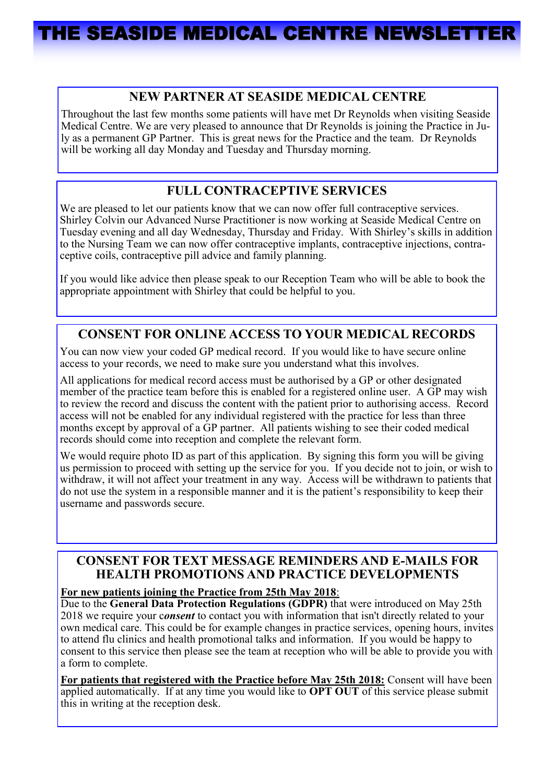# THE SEASIDE MEDICAL CENTRE NEWSLET

### **NEW PARTNER AT SEASIDE MEDICAL CENTRE**

Throughout the last few months some patients will have met Dr Reynolds when visiting Seaside Medical Centre. We are very pleased to announce that Dr Reynolds is joining the Practice in July as a permanent GP Partner. This is great news for the Practice and the team. Dr Reynolds will be working all day Monday and Tuesday and Thursday morning.

## **FULL CONTRACEPTIVE SERVICES**

We are pleased to let our patients know that we can now offer full contraceptive services. Shirley Colvin our Advanced Nurse Practitioner is now working at Seaside Medical Centre on Tuesday evening and all day Wednesday, Thursday and Friday. With Shirley's skills in addition to the Nursing Team we can now offer contraceptive implants, contraceptive injections, contraceptive coils, contraceptive pill advice and family planning.

If you would like advice then please speak to our Reception Team who will be able to book the appropriate appointment with Shirley that could be helpful to you.

## **CONSENT FOR ONLINE ACCESS TO YOUR MEDICAL RECORDS**

You can now view your coded GP medical record. If you would like to have secure online access to your records, we need to make sure you understand what this involves.

All applications for medical record access must be authorised by a GP or other designated member of the practice team before this is enabled for a registered online user. A GP may wish to review the record and discuss the content with the patient prior to authorising access. Record access will not be enabled for any individual registered with the practice for less than three months except by approval of a GP partner. All patients wishing to see their coded medical records should come into reception and complete the relevant form.

We would require photo ID as part of this application. By signing this form you will be giving us permission to proceed with setting up the service for you. If you decide not to join, or wish to withdraw, it will not affect your treatment in any way. Access will be withdrawn to patients that do not use the system in a responsible manner and it is the patient's responsibility to keep their username and passwords secure.

## **CONSENT FOR TEXT MESSAGE REMINDERS AND E-MAILS FOR HEALTH PROMOTIONS AND PRACTICE DEVELOPMENTS**

#### **For new patients joining the Practice from 25th May 2018**:

Due to the **General Data Protection Regulations (GDPR)** that were introduced on May 25th 2018 we require your c*onsent* to contact you with information that isn't directly related to your own medical care. This could be for example changes in practice services, opening hours, invites to attend flu clinics and health promotional talks and information. If you would be happy to consent to this service then please see the team at reception who will be able to provide you with a form to complete.

**For patients that registered with the Practice before May 25th 2018:** Consent will have been applied automatically. If at any time you would like to **OPT OUT** of this service please submit this in writing at the reception desk.